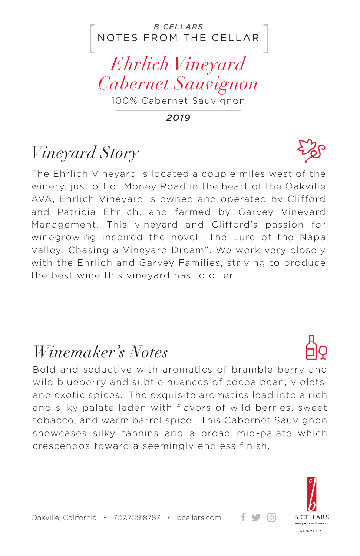#### NOTES FROM THE CELLAR *B CELLARS*

*Ehrlich Vineyard Cabernet Sauvignon*

100% Cabernet Sauvignon

*2019*

## *Vineyard Story*

The Ehrlich Vineyard is located a couple miles west of the winery, just off of Money Road in the heart of the Oakville AVA, Ehrlich Vineyard is owned and operated by Clifford and Patricia Ehrlich, and farmed by Garvey Vineyard Management. This vineyard and Clifford's passion for winegrowing inspired the novel "The Lure of the Napa Valley: Chasing a Vineyard Dream". We work very closely with the Ehrlich and Garvey Families, striving to produce the best wine this vineyard has to offer.

### *Winemaker's Notes*

Bold and seductive with aromatics of bramble berry and wild blueberry and subtle nuances of cocoa bean, violets, and exotic spices. The exquisite aromatics lead into a rich and silky palate laden with flavors of wild berries, sweet tobacco, and warm barrel spice. This Cabernet Sauvignon showcases silky tannins and a broad mid-palate which crescendos toward a seemingly endless finish.



ര